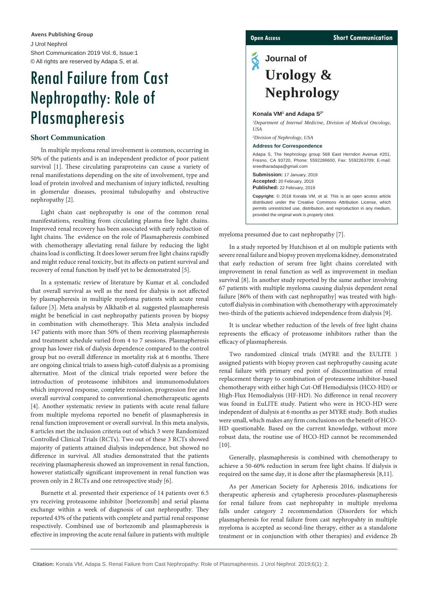J Urol Nephrol Short Communication 2019 Vol.:6, Issue:1 © All rights are reserved by Adapa S, et al. **Avens Publishing Group**

# Renal Failure from Cast Nephropathy: Role of Plasmapheresis

### **Short Communication**

In multiple myeloma renal involvement is common, occurring in 50% of the patients and is an independent predictor of poor patient survival [1]. These circulating paraproteins can cause a variety of renal manifestations depending on the site of involvement, type and load of protein involved and mechanism of injury inflicted, resulting in glomerular diseases, proximal tubulopathy and obstructive nephropathy [2].

Light chain cast nephropathy is one of the common renal manifestations, resulting from circulating plasma free light chains. Improved renal recovery has been associated with early reduction of light chains. The evidence on the role of Plasmapheresis combined with chemotherapy alleviating renal failure by reducing the light chains load is conflicting. It does lower serum free light chains rapidly and might reduce renal toxicity, but its affects on patient survival and recovery of renal function by itself yet to be demonstrated [5].

In a systematic review of literature by Kumar et al. concluded that overall survival as well as the need for dialysis is not affected by plasmapheresis in multiple myeloma patients with acute renal failure [3]. Meta analysis by Alkhatib et al. suggested plasmapheresis might be beneficial in cast nephropathy patients proven by biopsy in combination with chemotherapy. This Meta analysis included 147 patients with more than 50% of them receiving plasmapheresis and treatment schedule varied from 4 to 7 sessions. Plasmapheresis group has lower risk of dialysis dependence compared to the control group but no overall difference in mortality risk at 6 months. There are ongoing clinical trials to assess high-cutoff dialysis as a promising alternative. Most of the clinical trials reported were before the introduction of proteasome inhibitors and immunomodulators which improved response, complete remission, progression free and overall survival compared to conventional chemotherapeutic agents [4]. Another systematic review in patients with acute renal failure from multiple myeloma reported no benefit of plasmapheresis in renal function improvement or overall survival. In this meta analysis, 8 articles met the inclusion criteria out of which 3 were Randomized Controlled Clinical Trials (RCTs). Two out of these 3 RCTs showed majority of patients attained dialysis independence, but showed no difference in survival. All studies demonstrated that the patients receiving plasmapheresis showed an improvement in renal function, however statistically significant improvement in renal function was proven only in 2 RCTs and one retrospective study [6].

Burnette et al. presented their experience of 14 patients over 6.5 yrs receiving proteasome inhibitor [bortezomib] and serial plasma exchange within a week of diagnosis of cast nephropathy. They reported 43% of the patients with complete and partial renal response respectively. Combined use of bortezomib and plasmapheresis is effective in improving the acute renal failure in patients with multiple

### **Open Access Short Communication**

## ୡ **Journal of Urology & Nephrology**

### Konala VM<sup>1</sup> and Adapa S<sup>2\*</sup>

*1 Department of Internal Medicine, Division of Medical Oncology, USA*

### *2 Division of Nephrology, USA*

**Address for Correspondence**

Adapa S, The Nephrology group 568 East Herndon Avenue #201, Fresno, CA 93720, Phone: 5592286600, Fax: 5592263709; E-mail: sreedharadapa@gmail.com

**Submission:** 17 January, 2019 **Accepted:** 20 February, 2019 **Published:** 22 February, 2019

**Copyright:** © 2018 Konala VM, et al. This is an open access article distributed under the Creative Commons Attribution License, which permits unrestricted use, distribution, and reproduction in any medium, provided the original work is properly cited.

myeloma presumed due to cast nephropathy [7].

In a study reported by Hutchison et al on multiple patients with severe renal failure and biopsy proven myeloma kidney, demonstrated that early reduction of serum free light chains correlated with improvement in renal function as well as improvement in median survival [8]. In another study reported by the same author involving 67 patients with multiple myeloma causing dialysis dependent renal failure [86% of them with cast nephropathy] was treated with highcutoff dialysis in combination with chemotherapy with approximately two-thirds of the patients achieved independence from dialysis [9].

It is unclear whether reduction of the levels of free light chains represents the efficacy of proteasome inhibitors rather than the efficacy of plasmapheresis.

Two randomized clinical trials (MYRE and the EULITE ) assigned patients with biopsy proven cast nephropathy causing acute renal failure with primary end point of discontinuation of renal replacement therapy to combination of proteasome inhibitor-based chemotherapy with either high Cut-Off Hemodialysis (HCO-HD) or High-Flux Hemodialysis (HF-HD). No difference in renal recovery was found in EuLITE study. Patient who were in HCO-HD were independent of dialysis at 6 months as per MYRE study. Both studies were small, which makes any firm conclusions on the benefit of HCO-HD questionable. Based on the current knowledge, without more robust data, the routine use of HCO-HD cannot be recommended  $[10]$ .

Generally, plasmapheresis is combined with chemotherapy to achieve a 50-60% reduction in serum free light chains. If dialysis is required on the same day, it is done after the plasmapheresis [8,11].

As per American Society for Apheresis 2016, indications for therapeutic apheresis and cytapheresis procedures-plasmapheresis for renal failure from cast nephropahty in multiple myeloma falls under category 2 recommendation (Disorders for which plasmapheresis for renal failure from cast nephropahty in multiple myeloma is accepted as second-line therapy, either as a standalone treatment or in conjunction with other therapies) and evidence 2b

**Citation:** Konala VM, Adapa S. Renal Failure from Cast Nephropathy: Role of Plasmapheresis. J Urol Nephrol. 2019;6(1): 2.